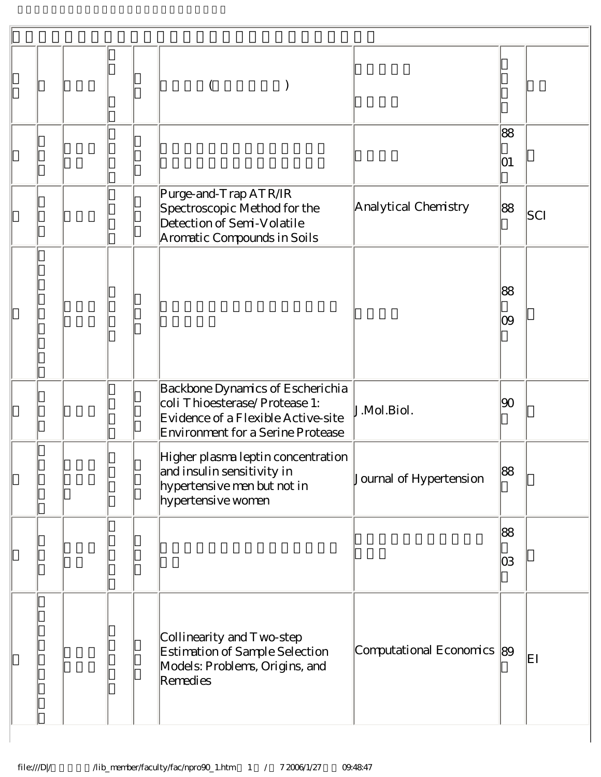|  |  |                                                                                                                                              |                            | 88<br>01  |     |
|--|--|----------------------------------------------------------------------------------------------------------------------------------------------|----------------------------|-----------|-----|
|  |  | Purge-and-Trap ATR/IR<br>Spectroscopic Method for the<br>Detection of Semi-Volatile<br>Aromatic Compounds in Soils                           | Analytical Chemistry       | 88        | SCI |
|  |  |                                                                                                                                              |                            | 88<br>09  |     |
|  |  | Backbone Dynamics of Escherichia<br>coli Thioesterase/Protease 1:<br>Evidence of a Flexible Active-site<br>Environment for a Serine Protease | J.Mol.Biol.                | 90        |     |
|  |  | Higher plasma leptin concentration<br>and insulin sensitivity in<br>hypertensive men but not in<br>hypertensive women                        | Journal of Hypertension    | 88        |     |
|  |  |                                                                                                                                              |                            | 88<br>lO3 |     |
|  |  | Collinearity and Two-step<br>Estimation of Sample Selection<br>Models: Problems, Origins, and<br>Remedies                                    | Computational Economics 89 |           | EΙ  |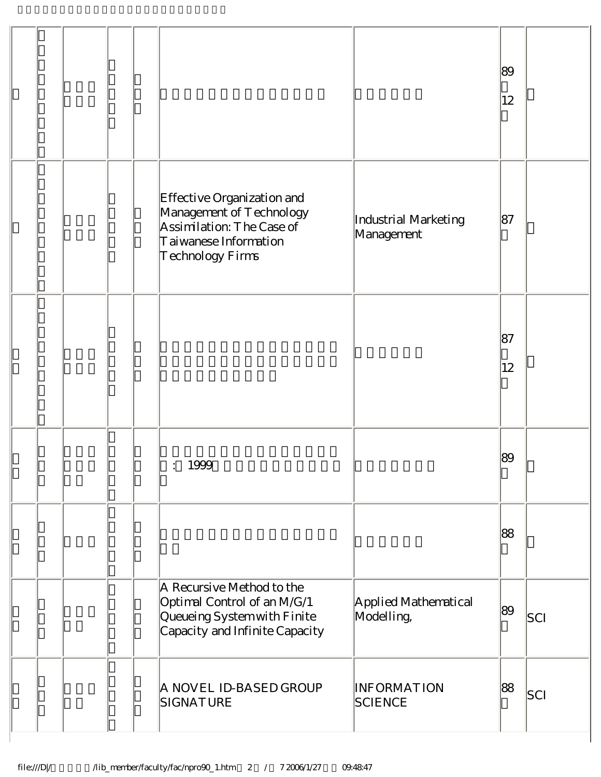|  |  |                                                                                                                                  |                                    | 89<br>$ 12\rangle$ |     |
|--|--|----------------------------------------------------------------------------------------------------------------------------------|------------------------------------|--------------------|-----|
|  |  | Effective Organization and<br>Management of Technology<br>Assimilation: The Case of<br>Taiwanese Information<br>Technology Firms | Industrial Marketing<br>Management | 87                 |     |
|  |  |                                                                                                                                  |                                    | 87<br>12           |     |
|  |  | 1999<br>$\bullet$ . $\bullet$ .                                                                                                  |                                    | 89                 |     |
|  |  |                                                                                                                                  |                                    | 88                 |     |
|  |  | A Recursive Method to the<br>Optimal Control of an M/G/1<br>Queueing System with Finite<br>Capacity and Infinite Capacity        | Applied Mathematical<br>Modelling, | 89                 | SCI |
|  |  | A NOVEL ID-BASED GROUP<br>SIGNATURE                                                                                              | <b>INFORMATION</b><br>SCIENCE      | 88                 | SCI |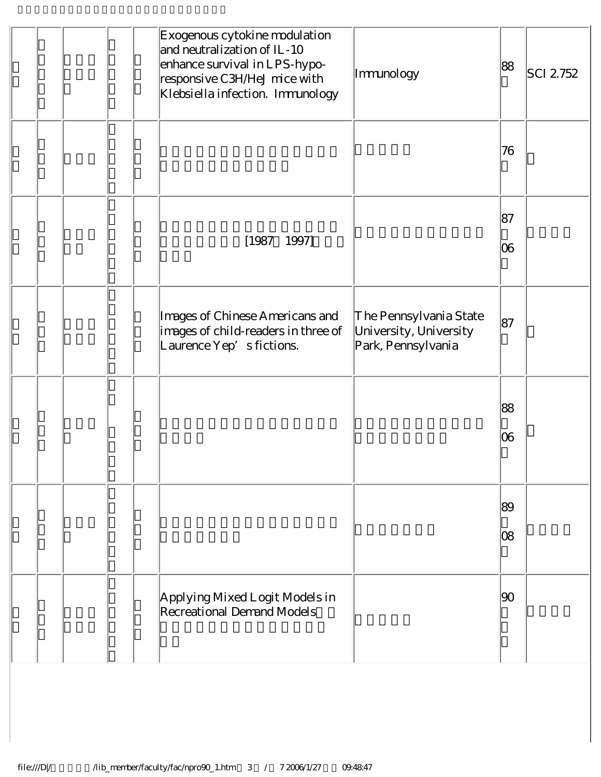|  |  | Exogenous cytokine modulation<br>and neutralization of IL-10<br>enhance survival in LPS-hypo-<br>responsive C3H/HeJ mice with<br>Klebsiella infection. Immunology | Immunology                                                             | 88           | SCI 2752 |
|--|--|-------------------------------------------------------------------------------------------------------------------------------------------------------------------|------------------------------------------------------------------------|--------------|----------|
|  |  |                                                                                                                                                                   |                                                                        | 76           |          |
|  |  | $[1987 \quad 1997]$                                                                                                                                               |                                                                        | 87<br>06     |          |
|  |  | Images of Chinese Americans and<br>images of child-readers in three of<br>Laurence Yep's fictions.                                                                | The Pennsylvania State<br>University, University<br>Park, Pennsylvania | 87           |          |
|  |  |                                                                                                                                                                   |                                                                        | 88<br> 06    |          |
|  |  |                                                                                                                                                                   |                                                                        | 89<br>08     |          |
|  |  | Applying Mixed Logit Models in<br>Recreational Demand Models                                                                                                      |                                                                        | $ 90\rangle$ |          |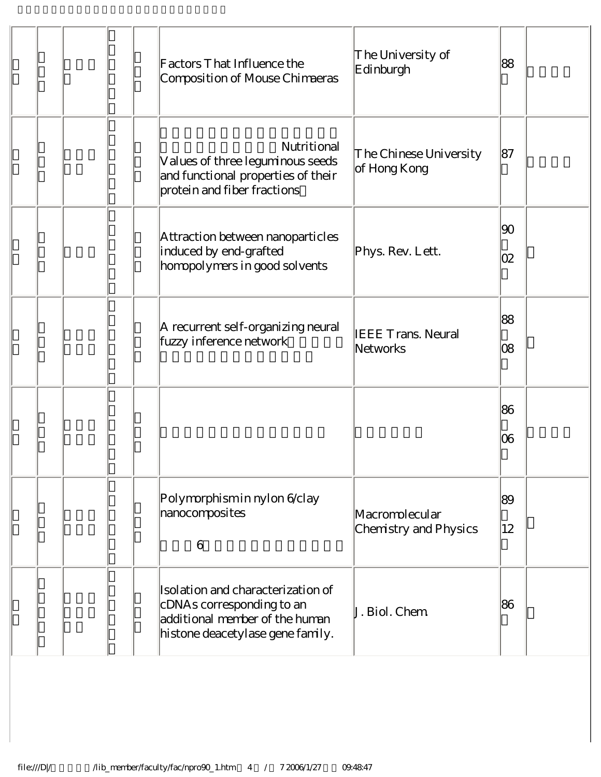|  | Factors That Influence the<br>Composition of Mouse Chimaeras                                                                         | The University of<br>Edinburgh          | 88        |
|--|--------------------------------------------------------------------------------------------------------------------------------------|-----------------------------------------|-----------|
|  | Nutritional<br>Values of three leguminous seeds<br>and functional properties of their<br>protein and fiber fractions                 | The Chinese University<br>of Hong Kong  | 87        |
|  | Attraction between nanoparticles<br>induced by end-grafted<br>homopolymers in good solvents                                          | Phys. Rev. Lett.                        | 90 <br>02 |
|  | A recurrent self-organizing neural<br>fuzzy inference network                                                                        | <b>IEEE Trans. Neural</b><br>Networks   | 88<br>08  |
|  |                                                                                                                                      |                                         | 86<br>06  |
|  | Polymorphism in nylon 6/clay<br>nanocomposites<br>6                                                                                  | Macromolecular<br>Chemistry and Physics | 89<br>12  |
|  | Isolation and characterization of<br>cDNAs corresponding to an<br>additional member of the human<br>histone deacetylase gene family. | J. Biol. Chem                           | 86        |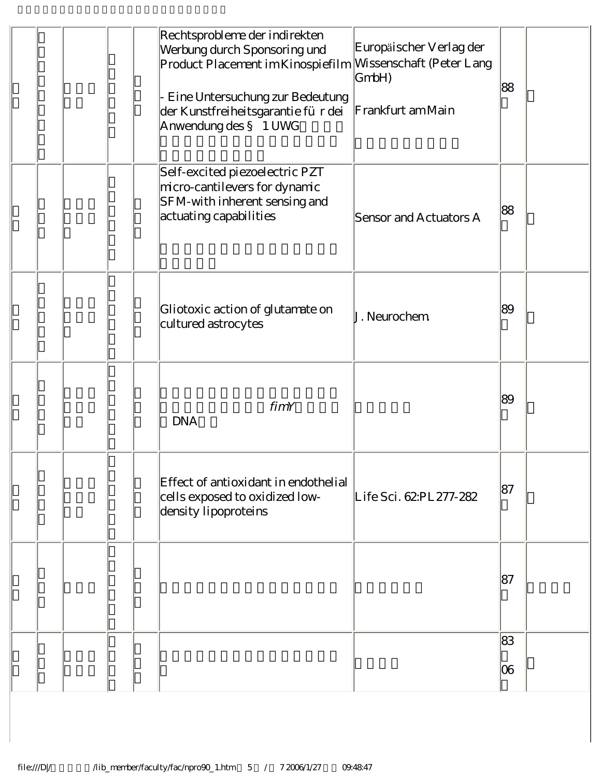|  |  | Rechtsprobleme der indirekten<br>Europäischer Verlag der<br>Werbung durch Sponsoring und<br>Product Placement im Kinospiefilm Missenschaft (Peter Lang<br>GmbH)<br>Eine Untersuchung zur Bedeutung<br>Frankfurt am Main<br>der Kunstfreiheitsgarantie für dei<br>Anwendung des § 1 UWG | 88       |  |
|--|--|----------------------------------------------------------------------------------------------------------------------------------------------------------------------------------------------------------------------------------------------------------------------------------------|----------|--|
|  |  | Self-excited piezoelectric PZT<br>micro-cantilevers for dynamic<br>SFM-with inherent sensing and<br>actuating capabilities<br>Sensor and Actuators A                                                                                                                                   | 88       |  |
|  |  | Gliotoxic action of glutamate on<br>J. Neurochem<br>cultured astrocytes                                                                                                                                                                                                                | 89       |  |
|  |  | fimY<br><b>DNA</b>                                                                                                                                                                                                                                                                     | 89       |  |
|  |  | Effect of antioxidant in endothelial<br>cells exposed to oxidized low-<br>Life Sci. 62:PL 277-282<br>density lipoproteins                                                                                                                                                              | 87       |  |
|  |  |                                                                                                                                                                                                                                                                                        | 187      |  |
|  |  |                                                                                                                                                                                                                                                                                        | 83<br>06 |  |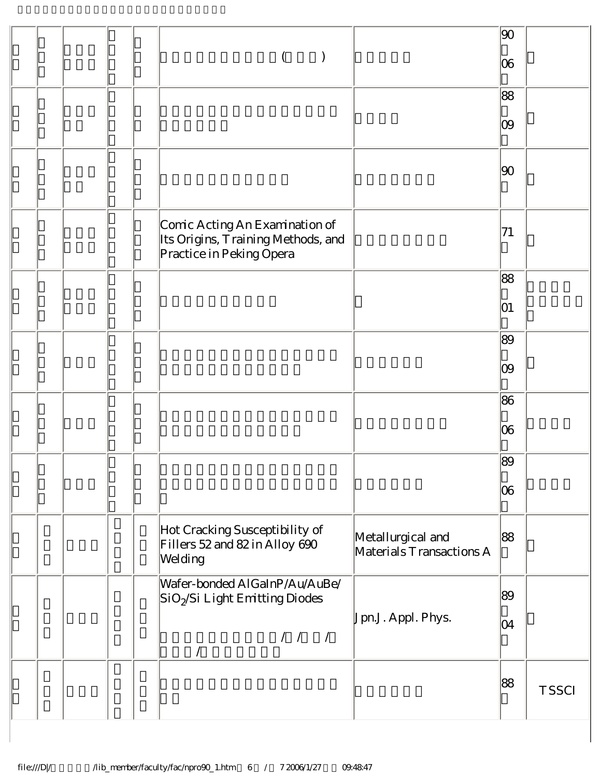|  |  |                                                                                                                                                                                                                                                                 |                                               | 90 |              |
|--|--|-----------------------------------------------------------------------------------------------------------------------------------------------------------------------------------------------------------------------------------------------------------------|-----------------------------------------------|----|--------------|
|  |  |                                                                                                                                                                                                                                                                 |                                               | 06 |              |
|  |  |                                                                                                                                                                                                                                                                 |                                               | 88 |              |
|  |  |                                                                                                                                                                                                                                                                 |                                               | 09 |              |
|  |  |                                                                                                                                                                                                                                                                 |                                               | 90 |              |
|  |  | Comic Acting An Examination of<br>Its Origins, Training Methods, and<br>Practice in Peking Opera                                                                                                                                                                |                                               | 71 |              |
|  |  |                                                                                                                                                                                                                                                                 |                                               | 88 |              |
|  |  |                                                                                                                                                                                                                                                                 |                                               | 01 |              |
|  |  |                                                                                                                                                                                                                                                                 |                                               | 89 |              |
|  |  |                                                                                                                                                                                                                                                                 |                                               | 09 |              |
|  |  |                                                                                                                                                                                                                                                                 |                                               | 86 |              |
|  |  |                                                                                                                                                                                                                                                                 |                                               | 06 |              |
|  |  |                                                                                                                                                                                                                                                                 |                                               | 89 |              |
|  |  |                                                                                                                                                                                                                                                                 |                                               | 06 |              |
|  |  | Hot Cracking Susceptibility of<br>Fillers 52 and 82 in Alloy 690<br>Welding                                                                                                                                                                                     | Metallurgical and<br>Materials Transactions A | 88 |              |
|  |  | Wafer-bonded AlGaInP/Au/AuBe/<br>SiO <sub>2</sub> Si Light Emitting Diodes                                                                                                                                                                                      |                                               | 89 |              |
|  |  | $\begin{array}{cccc} \begin{array}{cccc} \text{\emph{1}} & \text{\emph{1}} & \text{\emph{1}} & \text{\emph{1}} \\ \text{\emph{2}} & \text{\emph{3}} & \text{\emph{4}} & \text{\emph{5}} & \text{\emph{6}} \\ \end{array} \end{array} \end{array}$<br>$\sqrt{2}$ | Jpn.J. Appl. Phys.                            | 04 |              |
|  |  |                                                                                                                                                                                                                                                                 |                                               | 88 | <b>TSSCI</b> |

 $\overline{\phantom{a}}$